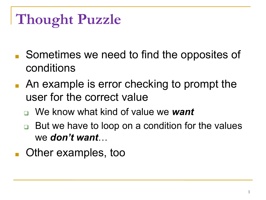- Sometimes we need to find the opposites of conditions
- An example is error checking to prompt the user for the correct value
	- ❑ We know what kind of value we *want*
	- But we have to loop on a condition for the values we *don't want*…
- Other examples, too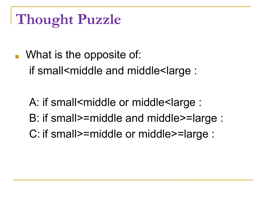- What is the opposite of: if small<middle and middle<large :
	- A: if small<middle or middle<large : B: if small>=middle and middle>=large :
	- C: if small>=middle or middle>=large :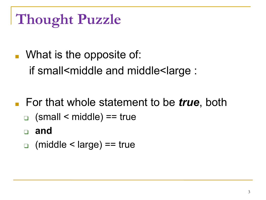- What is the opposite of: if small<middle and middle<large :
- For that whole statement to be *true*, both
	- $\Box$  (small < middle) == true
	- ❑ **and**
	- $\Box$  (middle < large) == true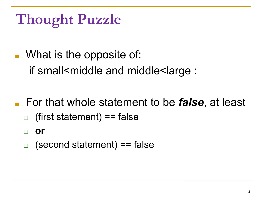- What is the opposite of: if small<middle and middle<large :
- For that whole statement to be *false*, at least
	- $\Box$  (first statement) == false
	- ❑ **or**
	- ❑ (second statement) == false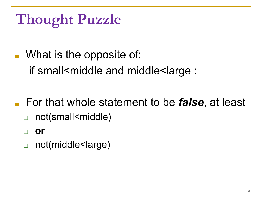- What is the opposite of: if small<middle and middle<large :
- For that whole statement to be *false*, at least
	- not(small<middle)
	- ❑ **or**
	- ❑ not(middle<large)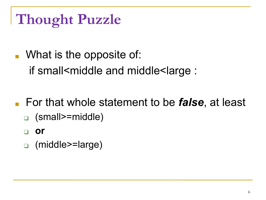- What is the opposite of: if small<middle and middle<large :
- For that whole statement to be *false*, at least ❑ (small>=middle)
	- ❑ **or**
	- ❑ (middle>=large)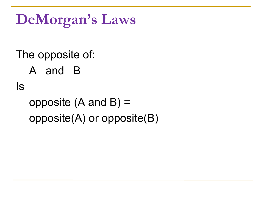**DeMorgan's Laws**

The opposite of: A and B Is opposite (A and B) = opposite(A) or opposite(B)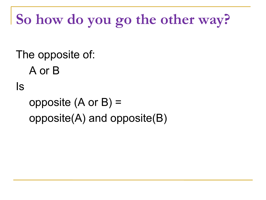# **So how do you go the other way?**

The opposite of: A or B Is opposite (A or B) = opposite(A) and opposite(B)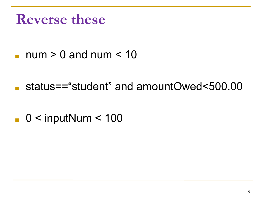#### **Reverse these**

- $\Box$  num > 0 and num < 10
- status=="student" and amountOwed<500.00
- $\blacksquare$  0 < inputNum < 100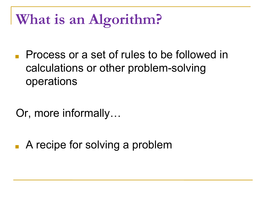### **What is an Algorithm?**

- Process or a set of rules to be followed in calculations or other problem-solving operations
- Or, more informally…
- A recipe for solving a problem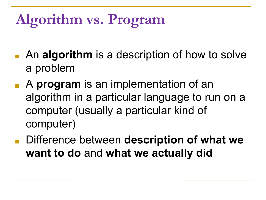# **Algorithm vs. Program**

- An **algorithm** is a description of how to solve a problem
- A **program** is an implementation of an algorithm in a particular language to run on a computer (usually a particular kind of computer)
- Difference between **description of what we want to do** and **what we actually did**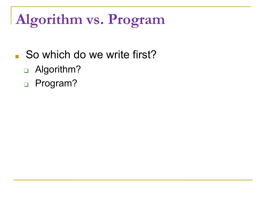# **Algorithm vs. Program**

#### ■ So which do we write first?

- □ Algorithm?
- ❑ Program?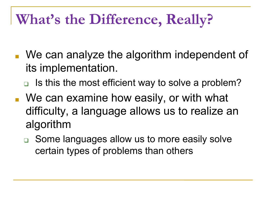### **What's the Difference, Really?**

- We can analyze the algorithm independent of its implementation.
	- ❑ Is this the most efficient way to solve a problem?
- We can examine how easily, or with what difficulty, a language allows us to realize an algorithm
	- ❑ Some languages allow us to more easily solve certain types of problems than others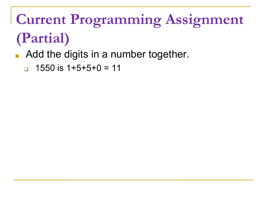# **Current Programming Assignment (Partial)**

- Add the digits in a number together.
	- ❑ 1550 is 1+5+5+0 = 11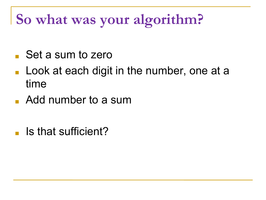### **So what was your algorithm?**

- Set a sum to zero
- Look at each digit in the number, one at a time
- Add number to a sum
- Is that sufficient?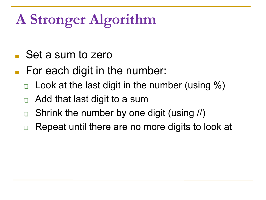# **A Stronger Algorithm**

- Set a sum to zero
- For each digit in the number:
	- Look at the last digit in the number (using  $\%$ )
	- Add that last digit to a sum
	- Shrink the number by one digit (using //)
	- Repeat until there are no more digits to look at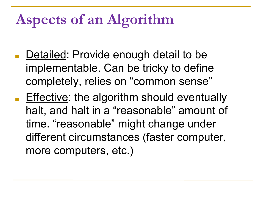## **Aspects of an Algorithm**

- Detailed: Provide enough detail to be implementable. Can be tricky to define completely, relies on "common sense"
- Effective: the algorithm should eventually halt, and halt in a "reasonable" amount of time. "reasonable" might change under different circumstances (faster computer, more computers, etc.)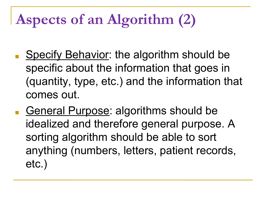# **Aspects of an Algorithm (2)**

- Specify Behavior: the algorithm should be specific about the information that goes in (quantity, type, etc.) and the information that comes out.
- General Purpose: algorithms should be idealized and therefore general purpose. A sorting algorithm should be able to sort anything (numbers, letters, patient records, etc.)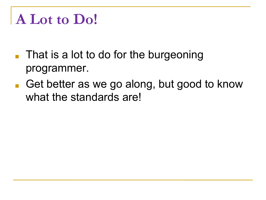### **A Lot to Do!**

- That is a lot to do for the burgeoning programmer.
- Get better as we go along, but good to know what the standards are!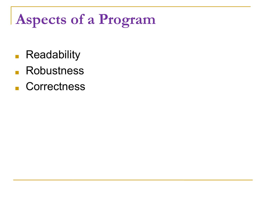# **Aspects of a Program**

- Readability
- Robustness
- Correctness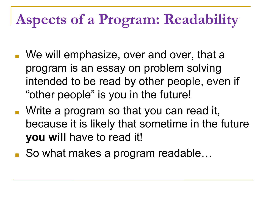## **Aspects of a Program: Readability**

- We will emphasize, over and over, that a program is an essay on problem solving intended to be read by other people, even if "other people" is you in the future!
- Write a program so that you can read it, because it is likely that sometime in the future **you will** have to read it!
- So what makes a program readable...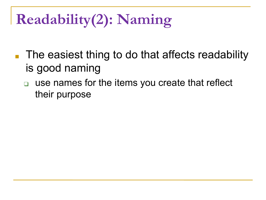# **Readability(2): Naming**

- The easiest thing to do that affects readability is good naming
	- ❑ use names for the items you create that reflect their purpose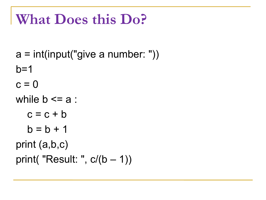#### **What Does this Do?**

 $a = int(input("give a number:"))$  $b=1$  $c = 0$ while  $b \le a$ :  $c = c + b$  $b = b + 1$ print (a,b,c) print( "Result: ", c/(b – 1))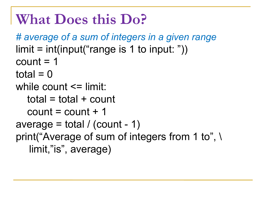#### **What Does this Do?**

```
# average of a sum of integers in a given range
limit = int(input("range is 1 to input:"))count = 1total = 0while count \leq limit:
  total = total + countcount = count + 1average = total / (count - 1)
print("Average of sum of integers from 1 to", \
   limit,"is", average)
```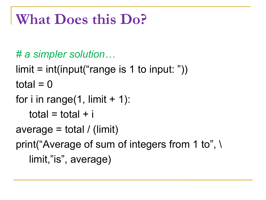#### **What Does this Do?**

- *# a simpler solution…*
- $limit = int(input("range is 1 to input:"))$ total  $= 0$
- for i in range $(1,$  limit  $+ 1)$ :

```
total = total + i
```
- average = total / (limit)
- print("Average of sum of integers from 1 to", \ limit,"is", average)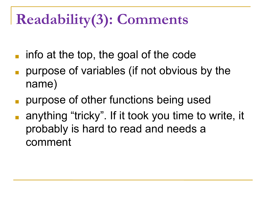# **Readability(3): Comments**

- $\blacksquare$  info at the top, the goal of the code
- purpose of variables (if not obvious by the name)
- purpose of other functions being used
- anything "tricky". If it took you time to write, it probably is hard to read and needs a comment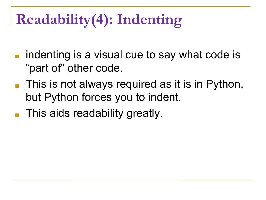# **Readability(4): Indenting**

- indenting is a visual cue to say what code is "part of" other code.
- This is not always required as it is in Python, but Python forces you to indent.
- This aids readability greatly.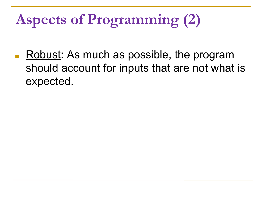# **Aspects of Programming (2)**

Robust: As much as possible, the program should account for inputs that are not what is expected.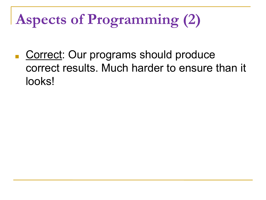# **Aspects of Programming (2)**

■ Correct: Our programs should produce correct results. Much harder to ensure than it looks!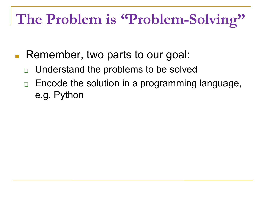## **The Problem is "Problem-Solving"**

- Remember, two parts to our goal:
	- ❑ Understand the problems to be solved
	- ❑ Encode the solution in a programming language, e.g. Python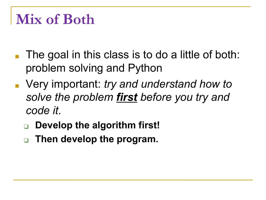#### **Mix of Both**

- The goal in this class is to do a little of both: problem solving and Python
- Very important: *try and understand how to solve the problem first before you try and code it.*
	- ❑ **Develop the algorithm first!**
	- ❑ **Then develop the program.**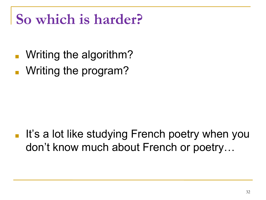### **So which is harder?**

- Writing the algorithm?
- Writing the program?

■ It's a lot like studying French poetry when you don't know much about French or poetry…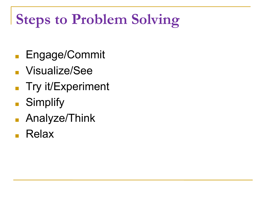# **Steps to Problem Solving**

- Engage/Commit
- Visualize/See
- Try it/Experiment
- Simplify
- Analyze/Think
- Relax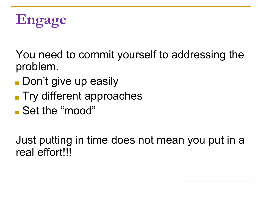

You need to commit yourself to addressing the problem.

- Don't give up easily
- Try different approaches
- Set the "mood"

Just putting in time does not mean you put in a real effort!!!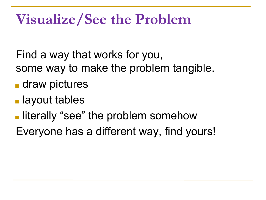#### **Visualize/See the Problem**

- Find a way that works for you, some way to make the problem tangible.
- draw pictures
- layout tables
- literally "see" the problem somehow
- Everyone has a different way, find yours!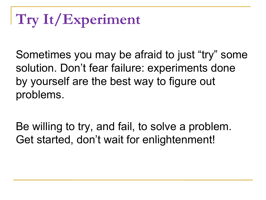# **Try It/Experiment**

Sometimes you may be afraid to just "try" some solution. Don't fear failure: experiments done by yourself are the best way to figure out problems.

Be willing to try, and fail, to solve a problem. Get started, don't wait for enlightenment!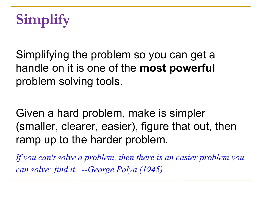

Simplifying the problem so you can get a handle on it is one of the **most powerful** problem solving tools.

Given a hard problem, make is simpler (smaller, clearer, easier), figure that out, then ramp up to the harder problem.

*If you can't solve a problem, then there is an easier problem you can solve: find it. --George Polya (1945)*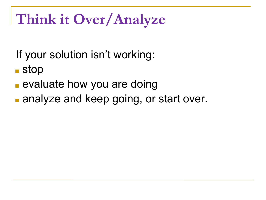### **Think it Over/Analyze**

If your solution isn't working:

■ stop

- evaluate how you are doing
- analyze and keep going, or start over.